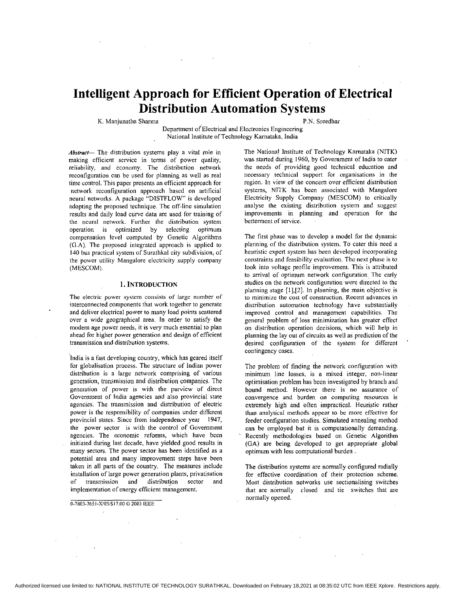# **Intelligent Approach for Efficient Operation of Electrical Distribution Automation Systems**

K. Manjunatha Sharma **P.N.** Sreedhar

Department of Electrical and Electronics Engineering National Institute of Technology Kamataka, India

*Abstract*- The distribution systems play a vital role in making cfficient service in terms of power quality, reliability, and economy. The distribution network reconfiguration can be used for planning as well as real time control. This paper presents an efficient approach for network reconfiguration approach based on artificial neural networks. A package "DISTFLOW" is developed adopting the proposed technique. The off-line simulation results and daily load curve data are used for training of the neural network. Further the distribution system operation is optimized by selecting optimum compensation level computed by Genetic Algorithms (G.A). The proposed integrated approach is applied to I40 bus practical system of Surathkal city subdivision, of the power utility Mangalore elcctricity supply company (MESCOM).

#### **1.** INTRODUCTION

The electric power system consists of large number **of**  interconnected components that work together to generate and deliver electrical power to many load points scattered over a wide geographical area. In order to satisfy the modem age power needs, it is very much essential to plan ahead for higher power generation and design of efficient transmission and distribution systems.

India is a fast developing country, which has geared itself for globalisation process. The structure of Indian power distribution is a large network comprising of various generation, transmission and distribution companies. The generation of power is with the purview of direct Government of India agencies and also provincial state agencies. The transmission and distribution of electric power is the responsibility of companies under different provincial states. Since from independence year 1947, the power sector **is** with the control of Government agencies. The economic reforms, which have been initiated during last decade, have yielded good results in many sectors. The power sector has been identified as a potential area and many improvement steps have been taken in all parts of the country. The measures include installation of large power generation plants, privatisation of transmission and distribution sector and implementation of energy efficient management.

**0-7803-7651-X1031\$17.00** *0* **<sup>2003</sup>**IEEE

The National Institute of Technology Kamataka (NITK) was started during 1960, by Government of India to cater the needs of providing good technical education and necessary technical support for organisations in the region. In view of the concern over efficient distribution systems, NITK has been associated with Mangalore Electricity Supply Company (MESCOM) to critically analyse the existing distribution system and suggest improvements in planning and operation for the betterment of service.

The first phase was to develop a model for the dynamic planning of the distribution system. To cater this need a heuristic expert system has been developed incorporating constraints and feasibility evaluation. The next phase is to look into voltage profile improvement. This is attributed to arrival of optimum network configuration. The early studies on the network configuration were directed to the planning stage [l],[2]. In planning, the main objective is to minimize the cost of construction. Recent advances in distribution automation technology have substantially improved control and management capabilities. The general problem of loss minimization has greater effect on distribution operation decisions, which will help in planning the lay out of circuits as well as prediction of the desired configuration of the system for different contingency cases.

The problem of finding the network configuration with minimum line losses, is a mixed integer, non-linear optimisation problem has been investigated by branch and bound method. However there is no assurance of convergence and burden on computing resources is extremely high and often impractical. Heuristic rather than analytical methods appear to be more effective for feeder configuration studies. Simulated annealing method can be employed but it is computationally demanding. Recently methodologies based on Genetic Algorithm (GA) are being developed to get appropriate global optimum with less computational burden .

The distribution systems are normally configured radially for effective coordination of their protection scheme. Most distribution networks use sectionalising switches that are normally closed and tie switches that are normally opened.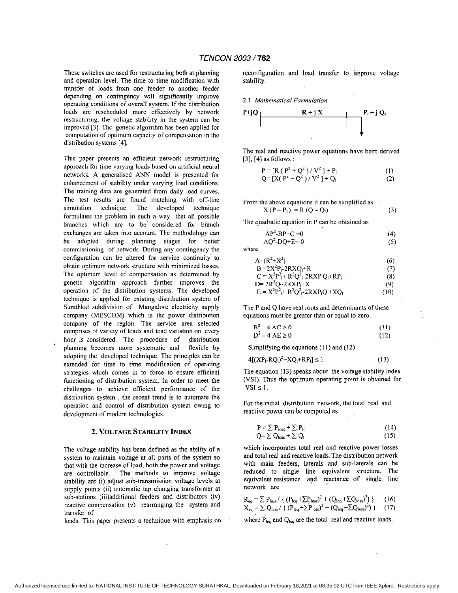These switches are used for restructuring both at planning and operation level. The time to time modification with transfer of loads. from one feeder to another feeder depending on contingency will significantly improve operating conditions *of* overall system. If the distribution loads are rescheduled more effectively by network restructuring, the voltage stability in the system can be improvcd *[3].* The genetic algorithm has been applied for computation of optimum capacity of compensation in thc distribution systems [4].

This paper presents an efficient network restructuring approach for time varying loads based on artificial neural networks. A .generalised ANN model is presented for enhancement of stability under varying load conditions. The training data are generated from daily load curves. The test results are found matching with off-line simulation technique. The developed technique formulales the problem in such a way that all possible branches which are to be' considered for branch exchanges are taken into account. The methodology can be adopted during planning stages for better commissioning of network. During any contingency the configuration can be altered for service continuity to obtain optimum network structure with minimized losses. The optimum level of compensation as determined by genetic algorithm approach further improves the operation of thc distribution systems. The developed technique **is** applied for existing distribution system of Surathkal subdivision of Mangalore electricity supply company (MESCOM) which is the power distribution company of the region. The service area selected comprises of variety of loads and load variation on every hour is considered. The procedure of distribution planning becomes more systematic and flexible by adopting the developed technique. The principles can be extended for time to time modification of operating strategies which comes in to force to ensure efficient functioning of distribution system. In order to meet the challenges to achieve efficient performance of the distribution system , the recent trend is to automate the operation and control of distribution system owing to development of modem technologies.

## *2.* **VOLTAGE STABILITY INDEX**

The voltage stability has been defined as the ability of a system to maintain voltage at all parts of the system so that with the increase of load, both the power and voltage are controllable. The methods to 'improve voltage stability are (i) adjust sub-transmission voltage levels at supply points (ii) automatic tap changing transformer at sub-stations (iii)additional feeders and distributors (iv) reactive compensation (v) rearranging the system and transfer of

loads. This paper presents a technique with emphasis on

reconfiguration and load transfer to improve voltage stability.

#### **2.1** *Marhematical Formulation*



The real and reactive power equations have been derived *[3],* [4] as follows :

$$
P = [R (P2 + Q2) / V2] + P1 (1)Q= [X (P2 + Q2) / V2] + Q1 (2)
$$

From the above equations it can be simplified as  $X(P-P_1) = R(Q-Q_1)$ 

The quadratic equation in P can be obtained as

$$
AP2-BP+C = 0
$$
 (4)  
AQ<sup>2</sup>-DQ+E= 0 (5)

 $(3)$ 

where

$$
A=(R^{2}+X^{2})
$$
\n(B = 2X<sup>2</sup>P<sub>1</sub>-2RXQ<sub>1</sub>+R  
\nC = X<sup>2</sup>P<sup>2</sup>+R<sup>2</sup>Q<sup>2</sup><sub>1</sub>-2RXP<sub>1</sub>Q<sub>1</sub>+RP<sub>1</sub> (8)  
\nD= 2R<sup>2</sup>Q<sub>1</sub>-2RXP<sub>1</sub>+X (9)  
\nE = X<sup>2</sup>P<sup>2</sup><sub>1</sub>+R<sup>2</sup>Q<sup>2</sup><sub>1</sub>-2RXP<sub>1</sub>Q<sub>1</sub>+XQ<sub>1</sub> (10)

The P and Q have real roots and determinants of these equations must be greater than or equal to zero.

$$
B2-4 AC \ge 0
$$
 (11)  

$$
D2-4 AE \ge 0
$$
 (12)

Simplifying the equations (1 1) and **(12)** 

$$
4[(XP_1 - RQ_1)^2 + XQ_1 + RP_1] \le 1
$$
\n(13)

The equation (13) speaks about the voltage stability index **(VSI).** Thus the optimum operating point is obtained for  $VSI \leq 1$ .

For the radial distribution network, the total real and reactive power can be computed as

$$
P = \sum P_{loss} + \sum P_{ii}
$$
  
Q =  $\sum Q_{loss} + \sum Q_{ii}$  (14)

which incorporates total real and reactive power losses and total real and reactive loads. The distribution network with main feeders, laterals and sub-laterals can be reduced to single line equivalent structure. The equivalent resistance and reactance of single line network are

$$
R_{eq} = \sum P_{loss} / \{ (P_{leq} + \sum P_{loss})^2 + (Q_{leq} + \sum Q_{loss})^2 \} \} \qquad (16)
$$
  
\n
$$
X_{eq} = \sum Q_{loss} / \{ (P_{leq} + \sum P_{loss})^2 + (Q_{leq} + \sum Q_{loss})^2 \} \} \qquad (17)
$$

where  $P_{\text{leq}}$  and  $Q_{\text{leq}}$  are the total real and reactive loads.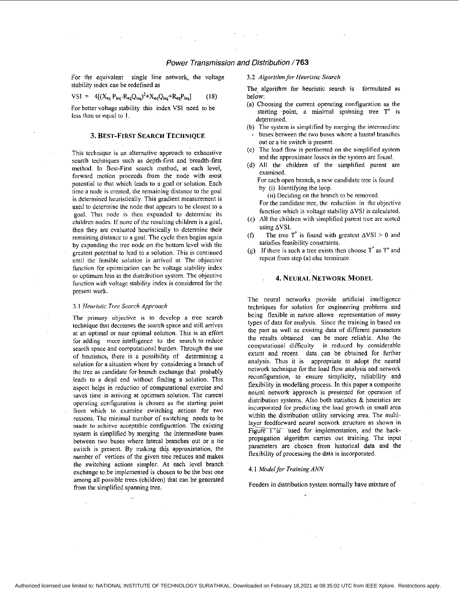For the equivalent single line network, the voltage stability index can be redefined as

$$
VSI = 4[(Xeq Pleq-ReqQleq)2+XeqQleq+ReqPleq]
$$
 (18)

For better voltage stability this index **VSI** need to be lcss than or equal to I.

#### **3. BEST-FIRST SEARCH TECHNIQUE**

This technique is an alternative approach to exhaustive search techniques such as depth-first and breadth-first method. In Best-First search method, at each level, forward motion proceeds from the node with most potential to that which leads to a goal or solution. Each time a node **is** created, the remaining distance to the goal is determined heuristically. This gradient measurement is used to determine the node that appears to he closest to a goal. That node is then expanded to determine its children nodes. If none of the resulting children is a goal, then they are evaluated heuristically to determine their remaining distance to a goal. The cycle then begins again by expanding thc tree node on the bottom level with thc greatest potential to lead to a solution. This is continued until the feasible solution is arrived at. The objective function for optimization can be voltage stability index or optimum loss in the distribution system. The objective function with voltagc stability index is considered for the present work.

#### 3. I Heuristic *Tree Search Approach*

The primary objective is to develop a tree search technique that decreases the search space and still arrives at an optimal or near optimal solution. This is an effort for adding more intelligence to the search to reduce search space and computational burden. Through the use of heuristics, there is a possibility of determining a solution for a situation where by considering a branch of the tree as candidate for branch exchange that probably leads to a dead end without finding a solution. This aspcct helps in reduction of computational exercise and saves time in arriving at optimum solution. The current operating configuration is chosen as the starting point from which to examine switching actions for two reasons. The minimal number of switching needs to be made to achieve acceptable configuration. The existing system is simplified by merging the intermediate buses between two buses where lateral branches out or a tie switch is present. By making this approximation, the number of vertices of the given tree reduces and makes the switching actions simpler. At each level branch exchange to.be implemented **is** chosen to be the best one among all possible trees (children) that can be generated from the simplified.spanning tree.

*3.2 Algorithm for Heuristic Search* 

The algorithm for heuristic search is formulated as below:

- (a) Choosing the current operating configuration as the starting point, a minimal spanning tree T° is determined.<br>(b) The system is simplified by merging the intermediate
- buses between the two buses where a lateral branches out or a tie switch is present.
- (c) The load flow is performed on the simplified system and the approximate losses in the system are found.
- (d) **All** the children of the simplified parent are examined.

For each open branch, a new candidate tree is found by (i) Identifying the loop.

(ii) Deciding on the branch to be removed. For the candidate tree, the reduction in the objective function which is voltage stability AVSI is calculated.

- (e) **All** the children with simplificd parent trce are sortcd using AVSI.
- (f) The tree T<sup>\*</sup> is found with greatest  $\Delta \text{VSI} > 0$  and satisfies feasibility constraints.
- (g) If there is such a tree exists then choose T' as **T"** and repeat from step (a) else terminate.

#### **4. NEURAL NETWORK MODEL**

The neural networks provide artificial intelligence techniques for solution for engineering problems and being flexible in nature allows representation of many types of data for analysis. Since the training in based on the past as well as existing data of different parameters the results obtained can be more reliable. Also the computational difficulty is reduced by considerable extent and recent data. can be obtained for further analysis. Thus it is appropriate to adopt the neural network technique for the load flow analysis and network reconfiguration, to ensure simplicity, reliability and flexibility in modelling process. In this paper a composite neural network approach is presented for operation of distribution systems. **Also** both statistics & heuristics are incorporated for predicting the load growth in small area within the distribution utility servicing area. The multilayer feedforward neural network structure as shown in Figure 1 is used for implementation, and the backpropagation algorithm carries out training. The input parameters are chosen from historical data and the flexibility of processing the data is incorporated.

#### 4. I *Mode; for Training ANN*

Feeders in distribution system normally have mixture of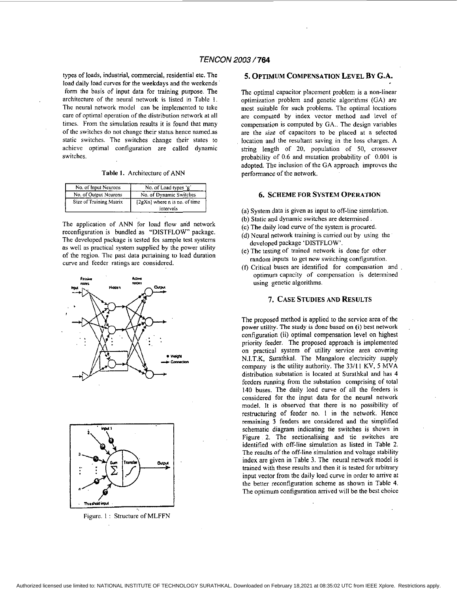types of loads, industrial, commercial, residential etc. The load daily load curves for the weekdays and the weekends form the basis of input data for training purpose. The architecture of the neural network is listed in Table 1. The neural network model can be implemented to take care of optimal operation of the distribution network at all times. From the simulation results it is found that many of the switches do not change their status hence named.as static switches. The switches change their states to achieve optimal configuration are called dynamic switches.

#### Table **1.** Architecture of ANN

| No. of Input Neurons    | No. of Load types 'g'                        |  |
|-------------------------|----------------------------------------------|--|
| No. of Output Neurons   | No. of Dynamic Switches                      |  |
| Size of Training Matrix | $[2gXn]$ where n is no. of time<br>intervals |  |

The application of ANN for load flow and network reconfiguration is bundled as "DISTFLOW" package. The developed package is tested foi sample test systems as well as practical system supplied by the power utility of the region. The past data pertaining to load duration curve and feeder ratings are considered.





Figure. **1** : Structure of MLFFN

# **5. OPTIMUM COMPENSATION LEVEL BY G.A.**

The optimal capacitor placement problem is a non-linear optimization problem and genetic algorithms (CA) are most suitable for such problems. The optimal locations are computed by index vector method and level of compensation is computed by CA.. The design variables are the size of capacitors to be placed at a selected location and the resultant saving in the loss charges. A string length of 20, population of 50, crossover probability of 0.6 and mutation probability of 0.001 is adopted, The inclusion of the CA approach improves the performance of the network.

## *6.* **SCHEME FOR SYSTEM OPERATION**

- (a) System data is given as input to off-line simulation.
- (b) Static and dynamic switches are determined.
- (c) The daily load curve of the system is procured.
- (d) Neural network training is carried out by using the developed package 'DISTFLOW'
- (e) The testing of trained network is done for other random inputs to get new switching configuration.
- (f) Critical buses are identified for compensation and optimum capacity of compensation is determined using genetic algorithms.

### **7. CASE STUDIES AND** RESULTS

The proposed method is applied to the service area of the power utility. The study **is** done based on (i) best network configuration (ii) optimal compensation level on highest priority feeder. The proposed approach is implemented on practical system of utility service area covering N.I.T.K, Surathkal. The Mangalore electricity supply company **ie** the utility authority. The **33/1** I KV, *5* MVA distribution substation is located at Surathkal and has 4 feeders running from the substation comprising of total 140 buses. The daily load curve of all the feeders is considered for the input data for the neural network model. It is observed that there is no possibility of restructuring of feeder no. **I** in the network. Hence **remaining 3** feeders are considered and the simplified schematic diagram indicating tie switches is shown **in**  Figure **2.** The sectionalising and tie switches are identified with off-line simulation as listed in [Table](#page-4-0) **2.**  The results of the off-line simulation and voltage stability index are given in [Table 3.](#page-4-0) The neural network model is trained with these results and then it is tested for arbitrary input vector from the daily load curve in order to arrive at the better reconfiguration scheme as shown in [Table 4.](#page-4-0) The optimum configuration arrived will be the best choice